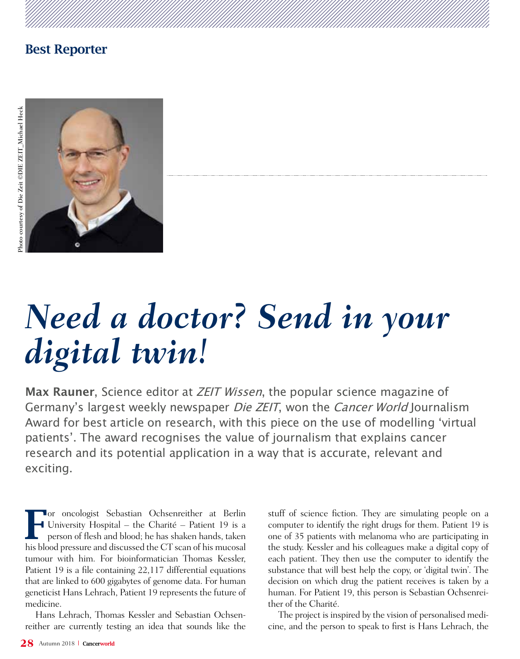

# *Need a doctor? Send in your digital twin!*

**Max Rauner**, Science editor at ZEIT Wissen, the popular science magazine of Germany's largest weekly newspaper Die ZEIT, won the Cancer World Journalism Award for best article on research, with this piece on the use of modelling 'virtual patients'. The award recognises the value of journalism that explains cancer research and its potential application in a way that is accurate, relevant and exciting.

For oncologist Sebastian Ochsenreither at Berlin<br>
University Hospital – the Charité – Patient 19 is a<br>
person of flesh and blood; he has shaken hands, taken University Hospital – the Charité – Patient 19 is a person of flesh and blood; he has shaken hands, taken his blood pressure and discussed the CT scan of his mucosal tumour with him. For bioinformatician Thomas Kessler, Patient 19 is a file containing 22,117 differential equations that are linked to 600 gigabytes of genome data. For human geneticist Hans Lehrach, Patient 19 represents the future of medicine.

Hans Lehrach, Thomas Kessler and Sebastian Ochsenreither are currently testing an idea that sounds like the stuff of science fiction. They are simulating people on a computer to identify the right drugs for them. Patient 19 is one of 35 patients with melanoma who are participating in the study. Kessler and his colleagues make a digital copy of each patient. They then use the computer to identify the substance that will best help the copy, or 'digital twin'. The decision on which drug the patient receives is taken by a human. For Patient 19, this person is Sebastian Ochsenreither of the Charité.

The project is inspired by the vision of personalised medicine, and the person to speak to first is Hans Lehrach, the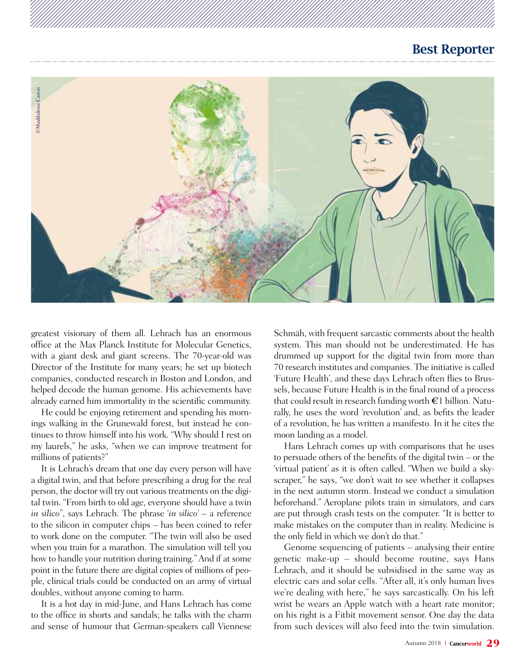

greatest visionary of them all. Lehrach has an enormous office at the Max Planck Institute for Molecular Genetics, with a giant desk and giant screens. The 70-year-old was Director of the Institute for many years; he set up biotech companies, conducted research in Boston and London, and helped decode the human genome. His achievements have already earned him immortality in the scientific community.

He could be enjoying retirement and spending his mornings walking in the Grunewald forest, but instead he continues to throw himself into his work. "Why should I rest on my laurels," he asks, "when we can improve treatment for millions of patients?"

It is Lehrach's dream that one day every person will have a digital twin, and that before prescribing a drug for the real person, the doctor will try out various treatments on the digital twin. "From birth to old age, everyone should have a twin *in silico*", says Lehrach. The phrase '*in silico'* – a reference to the silicon in computer chips – has been coined to refer to work done on the computer. "The twin will also be used when you train for a marathon. The simulation will tell you how to handle your nutrition during training." And if at some point in the future there are digital copies of millions of people, clinical trials could be conducted on an army of virtual doubles, without anyone coming to harm.

It is a hot day in mid-June, and Hans Lehrach has come to the office in shorts and sandals; he talks with the charm and sense of humour that German-speakers call Viennese

Schmäh, with frequent sarcastic comments about the health system. This man should not be underestimated. He has drummed up support for the digital twin from more than 70 research institutes and companies. The initiative is called 'Future Health', and these days Lehrach often flies to Brussels, because Future Health is in the final round of a process that could result in research funding worth  $\epsilon$ 1 billion. Naturally, he uses the word 'revolution' and, as befits the leader of a revolution, he has written a manifesto. In it he cites the moon landing as a model.

Hans Lehrach comes up with comparisons that he uses to persuade others of the benefits of the digital twin – or the 'virtual patient' as it is often called. "When we build a skyscraper," he says, "we don't wait to see whether it collapses in the next autumn storm. Instead we conduct a simulation beforehand." Aeroplane pilots train in simulators, and cars are put through crash tests on the computer. "It is better to make mistakes on the computer than in reality. Medicine is the only field in which we don't do that."

Genome sequencing of patients – analysing their entire genetic make-up – should become routine, says Hans Lehrach, and it should be subsidised in the same way as electric cars and solar cells. "After all, it's only human lives we're dealing with here," he says sarcastically. On his left wrist he wears an Apple watch with a heart rate monitor; on his right is a Fitbit movement sensor. One day the data from such devices will also feed into the twin simulation.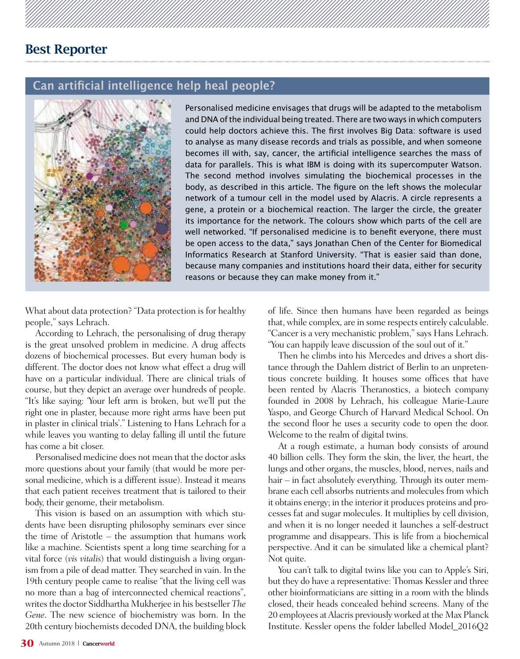#### **Can artificial intelligence help heal people?**



Personalised medicine envisages that drugs will be adapted to the metabolism and DNA of the individual being treated. There are two ways in which computers could help doctors achieve this. The first involves Big Data: software is used to analyse as many disease records and trials as possible, and when someone becomes ill with, say, cancer, the artificial intelligence searches the mass of data for parallels. This is what IBM is doing with its supercomputer Watson. The second method involves simulating the biochemical processes in the body, as described in this article. The figure on the left shows the molecular network of a tumour cell in the model used by Alacris. A circle represents a gene, a protein or a biochemical reaction. The larger the circle, the greater its importance for the network. The colours show which parts of the cell are well networked. "If personalised medicine is to benefit everyone, there must be open access to the data," says Jonathan Chen of the Center for Biomedical Informatics Research at Stanford University. "That is easier said than done, because many companies and institutions hoard their data, either for security reasons or because they can make money from it."

What about data protection? "Data protection is for healthy people," says Lehrach.

According to Lehrach, the personalising of drug therapy is the great unsolved problem in medicine. A drug affects dozens of biochemical processes. But every human body is different. The doctor does not know what effect a drug will have on a particular individual. There are clinical trials of course, but they depict an average over hundreds of people. "It's like saying: 'Your left arm is broken, but we'll put the right one in plaster, because more right arms have been put in plaster in clinical trials'." Listening to Hans Lehrach for a while leaves you wanting to delay falling ill until the future has come a bit closer.

Personalised medicine does not mean that the doctor asks more questions about your family (that would be more personal medicine, which is a different issue). Instead it means that each patient receives treatment that is tailored to their body, their genome, their metabolism.

This vision is based on an assumption with which students have been disrupting philosophy seminars ever since the time of Aristotle – the assumption that humans work like a machine. Scientists spent a long time searching for a vital force (*vis vitalis*) that would distinguish a living organism from a pile of dead matter. They searched in vain. In the 19th century people came to realise "that the living cell was no more than a bag of interconnected chemical reactions", writes the doctor Siddhartha Mukherjee in his bestseller *The Gene*. The new science of biochemistry was born. In the 20th century biochemists decoded DNA, the building block of life. Since then humans have been regarded as beings that, while complex, are in some respects entirely calculable. "Cancer is a very mechanistic problem," says Hans Lehrach. "You can happily leave discussion of the soul out of it."

Then he climbs into his Mercedes and drives a short distance through the Dahlem district of Berlin to an unpretentious concrete building. It houses some offices that have been rented by Alacris Theranostics, a biotech company founded in 2008 by Lehrach, his colleague Marie-Laure Yaspo, and George Church of Harvard Medical School. On the second floor he uses a security code to open the door. Welcome to the realm of digital twins.

At a rough estimate, a human body consists of around 40 billion cells. They form the skin, the liver, the heart, the lungs and other organs, the muscles, blood, nerves, nails and hair – in fact absolutely everything. Through its outer membrane each cell absorbs nutrients and molecules from which it obtains energy; in the interior it produces proteins and processes fat and sugar molecules. It multiplies by cell division, and when it is no longer needed it launches a self-destruct programme and disappears. This is life from a biochemical perspective. And it can be simulated like a chemical plant? Not quite.

You can't talk to digital twins like you can to Apple's Siri, but they do have a representative: Thomas Kessler and three other bioinformaticians are sitting in a room with the blinds closed, their heads concealed behind screens. Many of the 20 employees at Alacris previously worked at the Max Planck Institute. Kessler opens the folder labelled Model\_2016Q2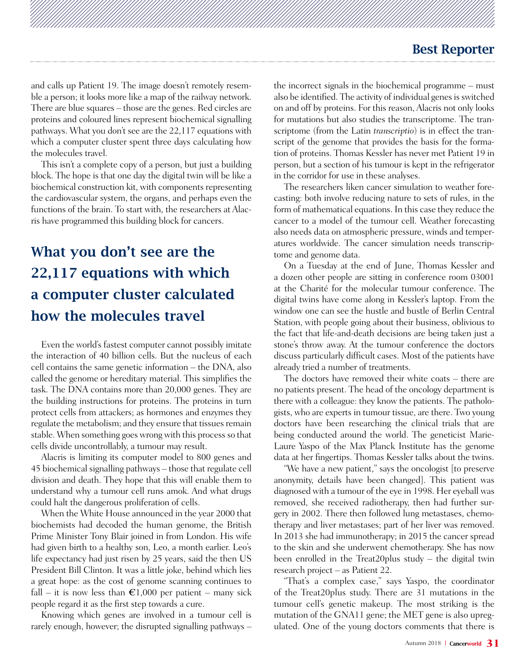and calls up Patient 19. The image doesn't remotely resemble a person; it looks more like a map of the railway network. There are blue squares – those are the genes. Red circles are proteins and coloured lines represent biochemical signalling pathways. What you don't see are the 22,117 equations with which a computer cluster spent three days calculating how the molecules travel.

This isn't a complete copy of a person, but just a building block. The hope is that one day the digital twin will be like a biochemical construction kit, with components representing the cardiovascular system, the organs, and perhaps even the functions of the brain. To start with, the researchers at Alacris have programmed this building block for cancers.

# What you don't see are the 22,117 equations with which a computer cluster calculated how the molecules travel

Even the world's fastest computer cannot possibly imitate the interaction of 40 billion cells. But the nucleus of each cell contains the same genetic information – the DNA, also called the genome or hereditary material. This simplifies the task. The DNA contains more than 20,000 genes. They are the building instructions for proteins. The proteins in turn protect cells from attackers; as hormones and enzymes they regulate the metabolism; and they ensure that tissues remain stable. When something goes wrong with this process so that cells divide uncontrollably, a tumour may result.

Alacris is limiting its computer model to 800 genes and 45 biochemical signalling pathways – those that regulate cell division and death. They hope that this will enable them to understand why a tumour cell runs amok. And what drugs could halt the dangerous proliferation of cells.

When the White House announced in the year 2000 that biochemists had decoded the human genome, the British Prime Minister Tony Blair joined in from London. His wife had given birth to a healthy son, Leo, a month earlier. Leo's life expectancy had just risen by 25 years, said the then US President Bill Clinton. It was a little joke, behind which lies a great hope: as the cost of genome scanning continues to fall – it is now less than  $\epsilon 1,000$  per patient – many sick people regard it as the first step towards a cure.

Knowing which genes are involved in a tumour cell is rarely enough, however; the disrupted signalling pathways – the incorrect signals in the biochemical programme – must also be identified. The activity of individual genes is switched on and off by proteins. For this reason, Alacris not only looks for mutations but also studies the transcriptome. The transcriptome (from the Latin *transcriptio*) is in effect the transcript of the genome that provides the basis for the formation of proteins. Thomas Kessler has never met Patient 19 in person, but a section of his tumour is kept in the refrigerator in the corridor for use in these analyses.

The researchers liken cancer simulation to weather forecasting: both involve reducing nature to sets of rules, in the form of mathematical equations. In this case they reduce the cancer to a model of the tumour cell. Weather forecasting also needs data on atmospheric pressure, winds and temperatures worldwide. The cancer simulation needs transcriptome and genome data.

On a Tuesday at the end of June, Thomas Kessler and a dozen other people are sitting in conference room 03001 at the Charité for the molecular tumour conference. The digital twins have come along in Kessler's laptop. From the window one can see the hustle and bustle of Berlin Central Station, with people going about their business, oblivious to the fact that life-and-death decisions are being taken just a stone's throw away. At the tumour conference the doctors discuss particularly difficult cases. Most of the patients have already tried a number of treatments.

The doctors have removed their white coats – there are no patients present. The head of the oncology department is there with a colleague: they know the patients. The pathologists, who are experts in tumour tissue, are there. Two young doctors have been researching the clinical trials that are being conducted around the world. The geneticist Marie-Laure Yaspo of the Max Planck Institute has the genome data at her fingertips. Thomas Kessler talks about the twins.

"We have a new patient," says the oncologist [to preserve anonymity, details have been changed]. This patient was diagnosed with a tumour of the eye in 1998. Her eyeball was removed, she received radiotherapy, then had further surgery in 2002. There then followed lung metastases, chemotherapy and liver metastases; part of her liver was removed. In 2013 she had immunotherapy; in 2015 the cancer spread to the skin and she underwent chemotherapy. She has now been enrolled in the Treat20plus study – the digital twin research project – as Patient 22.

"That's a complex case," says Yaspo, the coordinator of the Treat20plus study. There are 31 mutations in the tumour cell's genetic makeup. The most striking is the mutation of the GNA11 gene; the MET gene is also upregulated. One of the young doctors comments that there is